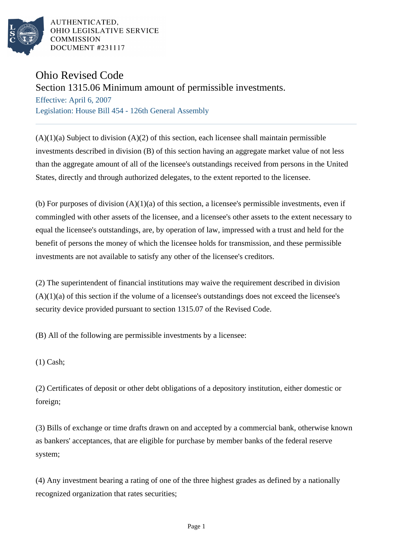

AUTHENTICATED. OHIO LEGISLATIVE SERVICE **COMMISSION** DOCUMENT #231117

## Ohio Revised Code

Section 1315.06 Minimum amount of permissible investments.

Effective: April 6, 2007 Legislation: House Bill 454 - 126th General Assembly

 $(A)(1)(a)$  Subject to division  $(A)(2)$  of this section, each licensee shall maintain permissible investments described in division (B) of this section having an aggregate market value of not less than the aggregate amount of all of the licensee's outstandings received from persons in the United States, directly and through authorized delegates, to the extent reported to the licensee.

(b) For purposes of division  $(A)(1)(a)$  of this section, a licensee's permissible investments, even if commingled with other assets of the licensee, and a licensee's other assets to the extent necessary to equal the licensee's outstandings, are, by operation of law, impressed with a trust and held for the benefit of persons the money of which the licensee holds for transmission, and these permissible investments are not available to satisfy any other of the licensee's creditors.

(2) The superintendent of financial institutions may waive the requirement described in division  $(A)(1)(a)$  of this section if the volume of a licensee's outstandings does not exceed the licensee's security device provided pursuant to section 1315.07 of the Revised Code.

(B) All of the following are permissible investments by a licensee:

(1) Cash;

(2) Certificates of deposit or other debt obligations of a depository institution, either domestic or foreign;

(3) Bills of exchange or time drafts drawn on and accepted by a commercial bank, otherwise known as bankers' acceptances, that are eligible for purchase by member banks of the federal reserve system;

(4) Any investment bearing a rating of one of the three highest grades as defined by a nationally recognized organization that rates securities;